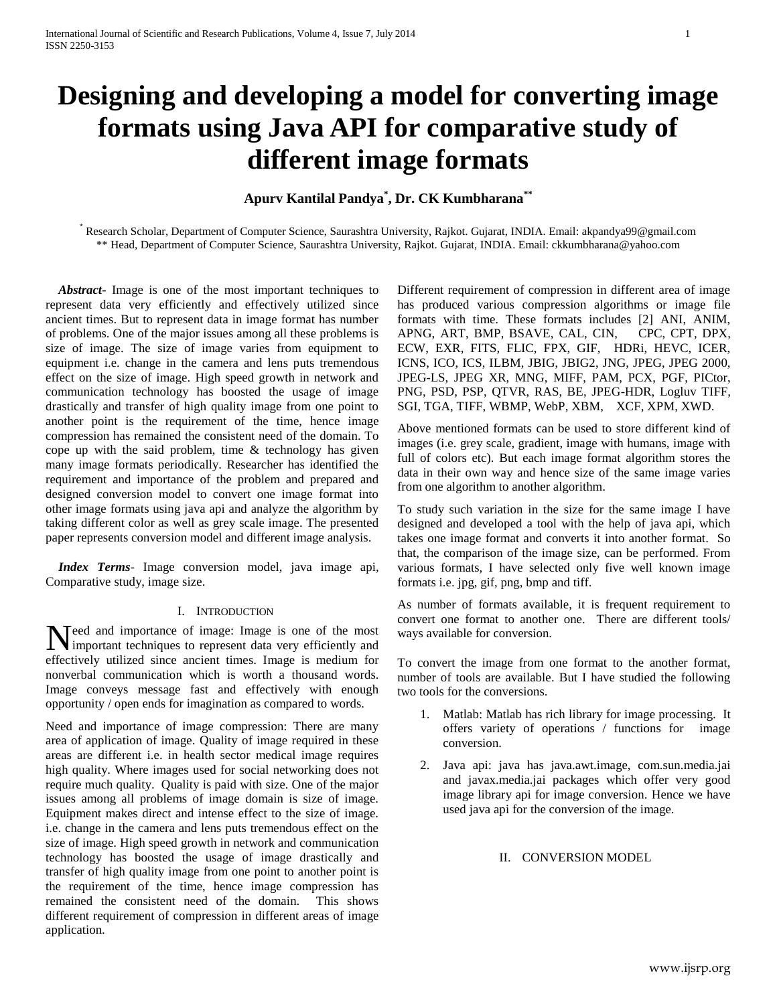# **Designing and developing a model for converting image formats using Java API for comparative study of different image formats**

## **Apurv Kantilal Pandya \* , Dr. CK Kumbharana\*\***

\* Research Scholar, Department of Computer Science, Saurashtra University, Rajkot. Gujarat, INDIA. Email: akpandya99@gmail.com \*\* Head, Department of Computer Science, Saurashtra University, Rajkot. Gujarat, INDIA. Email: ckkumbharana@yahoo.com

 *Abstract***-** Image is one of the most important techniques to represent data very efficiently and effectively utilized since ancient times. But to represent data in image format has number of problems. One of the major issues among all these problems is size of image. The size of image varies from equipment to equipment i.e. change in the camera and lens puts tremendous effect on the size of image. High speed growth in network and communication technology has boosted the usage of image drastically and transfer of high quality image from one point to another point is the requirement of the time, hence image compression has remained the consistent need of the domain. To cope up with the said problem, time  $\&$  technology has given many image formats periodically. Researcher has identified the requirement and importance of the problem and prepared and designed conversion model to convert one image format into other image formats using java api and analyze the algorithm by taking different color as well as grey scale image. The presented paper represents conversion model and different image analysis.

 *Index Terms*- Image conversion model, java image api, Comparative study, image size.

#### I. INTRODUCTION

eed and importance of image: Image is one of the most Need and importance of image: Image is one of the most<br>important techniques to represent data very efficiently and effectively utilized since ancient times. Image is medium for nonverbal communication which is worth a thousand words. Image conveys message fast and effectively with enough opportunity / open ends for imagination as compared to words.

Need and importance of image compression: There are many area of application of image. Quality of image required in these areas are different i.e. in health sector medical image requires high quality. Where images used for social networking does not require much quality. Quality is paid with size. One of the major issues among all problems of image domain is size of image. Equipment makes direct and intense effect to the size of image. i.e. change in the camera and lens puts tremendous effect on the size of image. High speed growth in network and communication technology has boosted the usage of image drastically and transfer of high quality image from one point to another point is the requirement of the time, hence image compression has remained the consistent need of the domain. This shows different requirement of compression in different areas of image application.

Different requirement of compression in different area of image has produced various compression algorithms or image file formats with time. These formats includes [2] ANI, ANIM, APNG, ART, BMP, BSAVE, CAL, CIN, CPC, CPT, DPX, ECW, EXR, FITS, FLIC, FPX, GIF, HDRi, HEVC, ICER, ICNS, ICO, ICS, ILBM, JBIG, JBIG2, JNG, JPEG, JPEG 2000, JPEG-LS, JPEG XR, MNG, MIFF, PAM, PCX, PGF, PICtor, PNG, PSD, PSP, QTVR, RAS, BE, JPEG-HDR, Logluv TIFF, SGI, TGA, TIFF, WBMP, WebP, XBM, XCF, XPM, XWD.

Above mentioned formats can be used to store different kind of images (i.e. grey scale, gradient, image with humans, image with full of colors etc). But each image format algorithm stores the data in their own way and hence size of the same image varies from one algorithm to another algorithm.

To study such variation in the size for the same image I have designed and developed a tool with the help of java api, which takes one image format and converts it into another format. So that, the comparison of the image size, can be performed. From various formats, I have selected only five well known image formats i.e. jpg, gif, png, bmp and tiff.

As number of formats available, it is frequent requirement to convert one format to another one. There are different tools/ ways available for conversion.

To convert the image from one format to the another format, number of tools are available. But I have studied the following two tools for the conversions.

- 1. Matlab: Matlab has rich library for image processing. It offers variety of operations / functions for image conversion.
- 2. Java api: java has java.awt.image, com.sun.media.jai and javax.media.jai packages which offer very good image library api for image conversion. Hence we have used java api for the conversion of the image.

## II. CONVERSION MODEL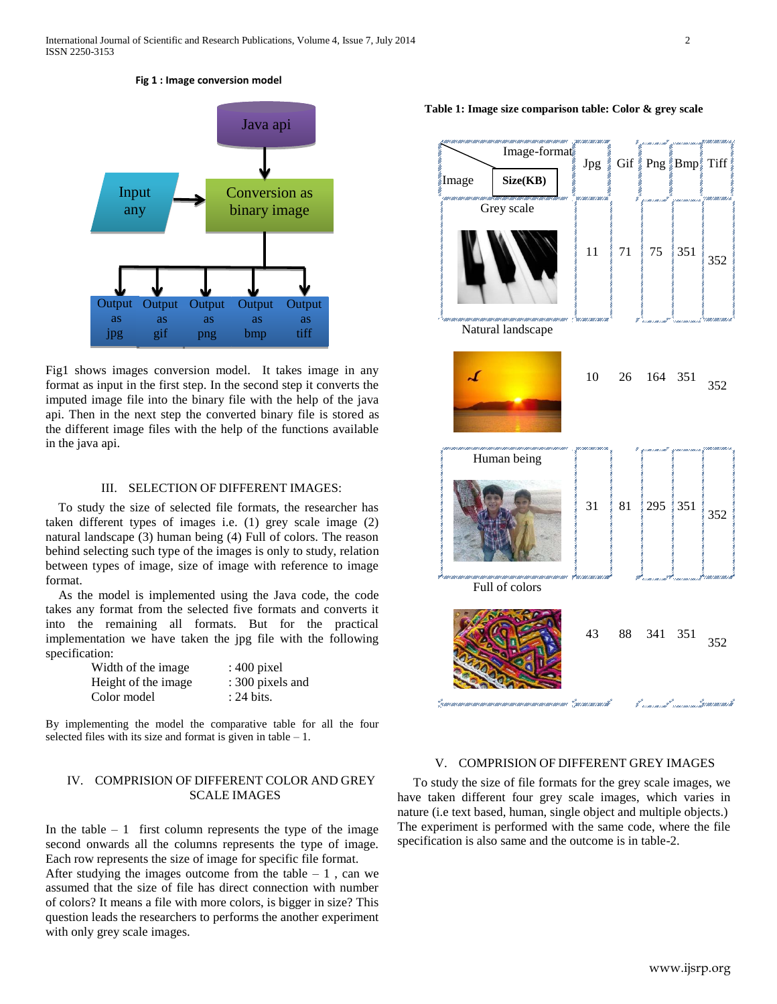#### **Fig 1 : Image conversion model**



Fig1 shows images conversion model. It takes image in any format as input in the first step. In the second step it converts the imputed image file into the binary file with the help of the java api. Then in the next step the converted binary file is stored as the different image files with the help of the functions available in the java api.

## III. SELECTION OF DIFFERENT IMAGES:

 To study the size of selected file formats, the researcher has taken different types of images i.e. (1) grey scale image (2) natural landscape (3) human being (4) Full of colors. The reason behind selecting such type of the images is only to study, relation between types of image, size of image with reference to image format.

 As the model is implemented using the Java code, the code takes any format from the selected five formats and converts it into the remaining all formats. But for the practical implementation we have taken the jpg file with the following specification:

| Width of the image  | : $400$ pixel    |
|---------------------|------------------|
| Height of the image | : 300 pixels and |
| Color model         | : 24 bits.       |

By implementing the model the comparative table for all the four selected files with its size and format is given in table  $-1$ .

## IV. COMPRISION OF DIFFERENT COLOR AND GREY SCALE IMAGES

In the table  $-1$  first column represents the type of the image second onwards all the columns represents the type of image. Each row represents the size of image for specific file format.

After studying the images outcome from the table  $-1$ , can we assumed that the size of file has direct connection with number of colors? It means a file with more colors, is bigger in size? This question leads the researchers to performs the another experiment with only grey scale images.

Image-format Jpg Gif Png Bmp Tiff Image **Size(KB)**Grey scale  $11 \t 71 \t 75 \t 351 \t 75$ 352 Natural landscape J. <sup>10</sup> <sup>26</sup> <sup>164</sup> <sup>351</sup> 352 Human being  $31 \n\begin{bmatrix} 81 \end{bmatrix} 295 \n\begin{bmatrix} 351 \end{bmatrix}$ 352 Full of colors <sup>43</sup> <sup>88</sup> <sup>341</sup> <sup>351</sup> 352 Pausi musican musican

## V. COMPRISION OF DIFFERENT GREY IMAGES

 To study the size of file formats for the grey scale images, we have taken different four grey scale images, which varies in nature (i.e text based, human, single object and multiple objects.) The experiment is performed with the same code, where the file specification is also same and the outcome is in table-2.

#### **Table 1: Image size comparison table: Color & grey scale**